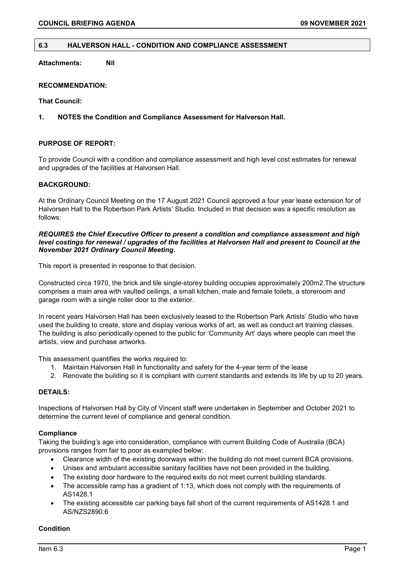### **6.3 HALVERSON HALL - CONDITION AND COMPLIANCE ASSESSMENT**

**Attachments: Nil**

### **RECOMMENDATION:**

**That Council:**

### **1. NOTES the Condition and Compliance Assessment for Halverson Hall.**

# **PURPOSE OF REPORT:**

To provide Council with a condition and compliance assessment and high level cost estimates for renewal and upgrades of the facilities at Halvorsen Hall.

### **BACKGROUND:**

At the Ordinary Council Meeting on the 17 August 2021 Council approved a four year lease extension for of Halvorsen Hall to the Robertson Park Artists' Studio. Included in that decision was a specific resolution as follows:

#### *REQUIRES the Chief Executive Officer to present a condition and compliance assessment and high level costings for renewal / upgrades of the facilities at Halvorsen Hall and present to Council at the November 2021 Ordinary Council Meeting***.**

This report is presented in response to that decision.

Constructed circa 1970, the brick and tile single-storey building occupies approximately 200m2.The structure comprises a main area with vaulted ceilings, a small kitchen, male and female toilets, a storeroom and garage room with a single roller door to the exterior.

In recent years Halvorsen Hall has been exclusively leased to the Robertson Park Artists' Studio who have used the building to create, store and display various works of art, as well as conduct art training classes. The building is also periodically opened to the public for 'Community Art' days where people can meet the artists, view and purchase artworks.

This assessment quantifies the works required to:

- 1. Maintain Halvorsen Hall in functionality and safety for the 4-year term of the lease
- 2. Renovate the building so it is compliant with current standards and extends its life by up to 20 years.

# **DETAILS:**

Inspections of Halvorsen Hall by City of Vincent staff were undertaken in September and October 2021 to determine the current level of compliance and general condition.

#### **Compliance**

Taking the building's age into consideration, compliance with current Building Code of Australia (BCA) provisions ranges from fair to poor as exampled below:

- Clearance width of the existing doorways within the building do not meet current BCA provisions.
- Unisex and ambulant accessible sanitary facilities have not been provided in the building.
- The existing door hardware to the required exits do not meet current building standards.
- The accessible ramp has a gradient of 1:13, which does not comply with the requirements of AS1428.1
- The existing accessible car parking bays fall short of the current requirements of AS1428.1 and AS/NZS2890.6

#### **Condition**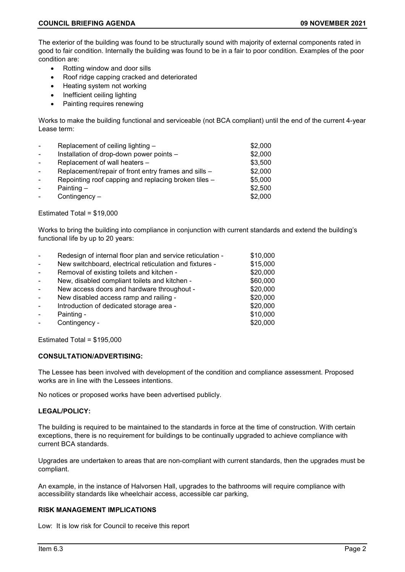The exterior of the building was found to be structurally sound with majority of external components rated in good to fair condition. Internally the building was found to be in a fair to poor condition. Examples of the poor condition are:

- Rotting window and door sills
- Roof ridge capping cracked and deteriorated
- Heating system not working
- Inefficient ceiling lighting
- Painting requires renewing

Works to make the building functional and serviceable (not BCA compliant) until the end of the current 4-year Lease term:

| $\sim$ | Replacement of ceiling lighting -                    | \$2,000 |
|--------|------------------------------------------------------|---------|
| $\sim$ | Installation of drop-down power points -             | \$2,000 |
|        | Replacement of wall heaters -                        | \$3,500 |
| $\sim$ | Replacement/repair of front entry frames and sills - | \$2,000 |
| $\sim$ | Repointing roof capping and replacing broken tiles - | \$5,000 |
|        | Painting $-$                                         | \$2,500 |
|        | Contingency -                                        | \$2,000 |

Estimated Total = \$19,000

Works to bring the building into compliance in conjunction with current standards and extend the building's functional life by up to 20 years:

| $\sim$ | Redesign of internal floor plan and service reticulation - | \$10,000 |
|--------|------------------------------------------------------------|----------|
| $\sim$ | New switchboard, electrical reticulation and fixtures -    | \$15,000 |
| $\sim$ | Removal of existing toilets and kitchen -                  | \$20,000 |
| $\sim$ | New, disabled compliant toilets and kitchen -              | \$60,000 |
|        | New access doors and hardware throughout -                 | \$20,000 |
| $\sim$ | New disabled access ramp and railing -                     | \$20,000 |
| $\sim$ | Introduction of dedicated storage area -                   | \$20,000 |
|        | Painting -                                                 | \$10,000 |
|        | Contingency -                                              | \$20,000 |

Estimated Total = \$195,000

# **CONSULTATION/ADVERTISING:**

The Lessee has been involved with development of the condition and compliance assessment. Proposed works are in line with the Lessees intentions.

No notices or proposed works have been advertised publicly.

#### **LEGAL/POLICY:**

The building is required to be maintained to the standards in force at the time of construction. With certain exceptions, there is no requirement for buildings to be continually upgraded to achieve compliance with current BCA standards.

Upgrades are undertaken to areas that are non-compliant with current standards, then the upgrades must be compliant.

An example, in the instance of Halvorsen Hall, upgrades to the bathrooms will require compliance with accessibility standards like wheelchair access, accessible car parking,

### **RISK MANAGEMENT IMPLICATIONS**

Low: It is low risk for Council to receive this report